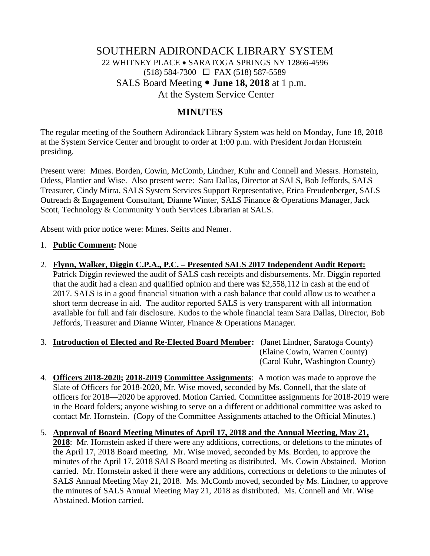# SOUTHERN ADIRONDACK LIBRARY SYSTEM 22 WHITNEY PLACE • SARATOGA SPRINGS NY 12866-4596 (518) 584-7300 FAX (518) 587-5589 SALS Board Meeting **June 18, 2018** at 1 p.m. At the System Service Center

## **MINUTES**

The regular meeting of the Southern Adirondack Library System was held on Monday, June 18, 2018 at the System Service Center and brought to order at 1:00 p.m. with President Jordan Hornstein presiding.

Present were: Mmes. Borden, Cowin, McComb, Lindner, Kuhr and Connell and Messrs. Hornstein, Odess, Plantier and Wise. Also present were: Sara Dallas, Director at SALS, Bob Jeffords, SALS Treasurer, Cindy Mirra, SALS System Services Support Representative, Erica Freudenberger, SALS Outreach & Engagement Consultant, Dianne Winter, SALS Finance & Operations Manager, Jack Scott, Technology & Community Youth Services Librarian at SALS.

Absent with prior notice were: Mmes. Seifts and Nemer.

#### 1. **Public Comment:** None

- 2. **Flynn, Walker, Diggin C.P.A., P.C. – Presented SALS 2017 Independent Audit Report:**  Patrick Diggin reviewed the audit of SALS cash receipts and disbursements. Mr. Diggin reported that the audit had a clean and qualified opinion and there was \$2,558,112 in cash at the end of 2017. SALS is in a good financial situation with a cash balance that could allow us to weather a short term decrease in aid. The auditor reported SALS is very transparent with all information available for full and fair disclosure. Kudos to the whole financial team Sara Dallas, Director, Bob Jeffords, Treasurer and Dianne Winter, Finance & Operations Manager.
- 3. **Introduction of Elected and Re-Elected Board Member:** (Janet Lindner, Saratoga County) (Elaine Cowin, Warren County) (Carol Kuhr, Washington County)
- 4. **Officers 2018-2020; 2018-2019 Committee Assignments**: A motion was made to approve the Slate of Officers for 2018-2020, Mr. Wise moved, seconded by Ms. Connell, that the slate of officers for 2018—2020 be approved. Motion Carried. Committee assignments for 2018-2019 were in the Board folders; anyone wishing to serve on a different or additional committee was asked to contact Mr. Hornstein. (Copy of the Committee Assignments attached to the Official Minutes.)
- 5. **Approval of Board Meeting Minutes of April 17, 2018 and the Annual Meeting, May 21, 2018**: Mr. Hornstein asked if there were any additions, corrections, or deletions to the minutes of the April 17, 2018 Board meeting. Mr. Wise moved, seconded by Ms. Borden, to approve the minutes of the April 17, 2018 SALS Board meeting as distributed. Ms. Cowin Abstained. Motion carried. Mr. Hornstein asked if there were any additions, corrections or deletions to the minutes of SALS Annual Meeting May 21, 2018. Ms. McComb moved, seconded by Ms. Lindner, to approve the minutes of SALS Annual Meeting May 21, 2018 as distributed. Ms. Connell and Mr. Wise Abstained. Motion carried.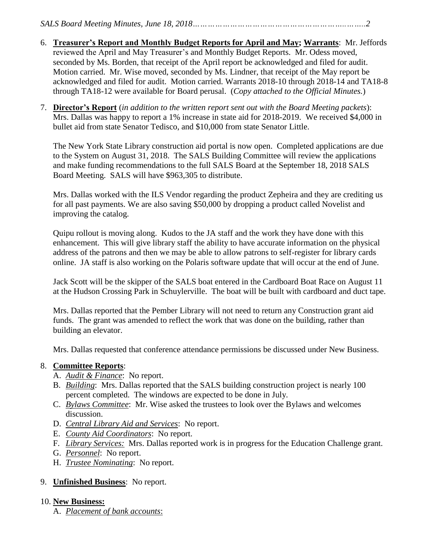- 6. **Treasurer's Report and Monthly Budget Reports for April and May; Warrants**: Mr. Jeffords reviewed the April and May Treasurer's and Monthly Budget Reports. Mr. Odess moved, seconded by Ms. Borden, that receipt of the April report be acknowledged and filed for audit. Motion carried. Mr. Wise moved, seconded by Ms. Lindner, that receipt of the May report be acknowledged and filed for audit. Motion carried. Warrants 2018-10 through 2018-14 and TA18-8 through TA18-12 were available for Board perusal. (*Copy attached to the Official Minutes.*)
- 7. **Director's Report** (*in addition to the written report sent out with the Board Meeting packets*): Mrs. Dallas was happy to report a 1% increase in state aid for 2018-2019. We received \$4,000 in bullet aid from state Senator Tedisco, and \$10,000 from state Senator Little.

The New York State Library construction aid portal is now open. Completed applications are due to the System on August 31, 2018. The SALS Building Committee will review the applications and make funding recommendations to the full SALS Board at the September 18, 2018 SALS Board Meeting. SALS will have \$963,305 to distribute.

Mrs. Dallas worked with the ILS Vendor regarding the product Zepheira and they are crediting us for all past payments. We are also saving \$50,000 by dropping a product called Novelist and improving the catalog.

Quipu rollout is moving along. Kudos to the JA staff and the work they have done with this enhancement. This will give library staff the ability to have accurate information on the physical address of the patrons and then we may be able to allow patrons to self-register for library cards online. JA staff is also working on the Polaris software update that will occur at the end of June.

Jack Scott will be the skipper of the SALS boat entered in the Cardboard Boat Race on August 11 at the Hudson Crossing Park in Schuylerville. The boat will be built with cardboard and duct tape.

Mrs. Dallas reported that the Pember Library will not need to return any Construction grant aid funds. The grant was amended to reflect the work that was done on the building, rather than building an elevator.

Mrs. Dallas requested that conference attendance permissions be discussed under New Business.

#### 8. **Committee Reports**:

- A. *Audit & Finance*: No report.
- B. *Building*: Mrs. Dallas reported that the SALS building construction project is nearly 100 percent completed. The windows are expected to be done in July.
- C. *Bylaws Committee*: Mr. Wise asked the trustees to look over the Bylaws and welcomes discussion.
- D. *Central Library Aid and Services*: No report.
- E. *County Aid Coordinators*: No report.
- F. *Library Services:* Mrs. Dallas reported work is in progress for the Education Challenge grant.
- G. *Personnel*: No report.
- H. *Trustee Nominating*: No report.

### 9. **Unfinished Business**: No report.

#### 10. **New Business:**

A. *Placement of bank accounts*: